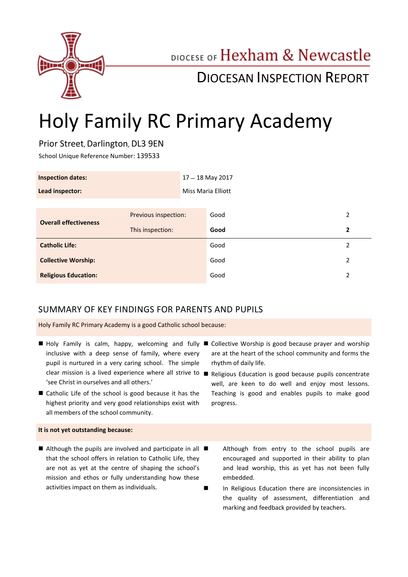

# DIOCESE OF Hexham & Newcastle

# DIOCESAN INSPECTION REPORT

# Holy Family RC Primary Academy

# Prior Street, Darlington, DL3 9EN

School Unique Reference Number: 139533

| <b>Inspection dates:</b>     |                      |                           | $17 - 18$ May 2017 |   |
|------------------------------|----------------------|---------------------------|--------------------|---|
| Lead inspector:              |                      | <b>Miss Maria Elliott</b> |                    |   |
|                              |                      |                           |                    |   |
| <b>Overall effectiveness</b> | Previous inspection: |                           | Good               | 2 |
|                              | This inspection:     |                           | Good               | 2 |
| <b>Catholic Life:</b>        |                      |                           | Good               | 2 |
| <b>Collective Worship:</b>   |                      |                           | Good               | 2 |
| <b>Religious Education:</b>  |                      |                           | Good               | 2 |

# SUMMARY OF KEY FINDINGS FOR PARENTS AND PUPILS

Holy Family RC Primary Academy is a good Catholic school because:

- inclusive with a deep sense of family, where every pupil is nurtured in a very caring school. The simple 'see Christ in ourselves and all others.'
- Catholic Life of the school is good because it has the highest priority and very good relationships exist with all members of the school community.

#### **It is not yet outstanding because:**

 $\blacksquare$  Although the pupils are involved and participate in all  $\blacksquare$ that the school offers in relation to Catholic Life, they are not as yet at the centre of shaping the school's mission and ethos or fully understanding how these activities impact on them as individuals.

- Holy Family is calm, happy, welcoming and fully Collective Worship is good because prayer and worship are at the heart of the school community and forms the rhythm of daily life.
	- clear mission is a lived experience where all strive to Religious Education is good because pupils concentrate well, are keen to do well and enjoy most lessons. Teaching is good and enables pupils to make good progress.
		- Although from entry to the school pupils are encouraged and supported in their ability to plan and lead worship, this as yet has not been fully embedded.
		- In Religious Education there are inconsistencies in the quality of assessment, differentiation and marking and feedback provided by teachers.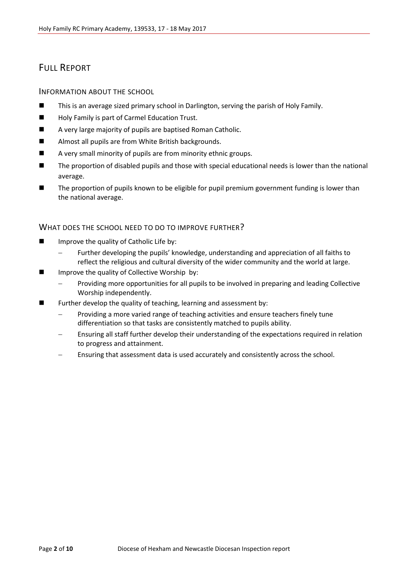# FULL REPORT

#### INFORMATION ABOUT THE SCHOOL

- This is an average sized primary school in Darlington, serving the parish of Holy Family.
- Holy Family is part of Carmel Education Trust.
- A very large majority of pupils are baptised Roman Catholic.
- Almost all pupils are from White British backgrounds.
- A very small minority of pupils are from minority ethnic groups.
- The proportion of disabled pupils and those with special educational needs is lower than the national average.
- The proportion of pupils known to be eligible for pupil premium government funding is lower than the national average.

#### WHAT DOES THE SCHOOL NEED TO DO TO IMPROVE FURTHER?

- **IMPROVE THE QUALICATE CONCERNATION** Improve the quality of Catholic Life by:
	- Further developing the pupils' knowledge, understanding and appreciation of all faiths to reflect the religious and cultural diversity of the wider community and the world at large.
- Improve the quality of Collective Worship by:
	- Providing more opportunities for all pupils to be involved in preparing and leading Collective Worship independently.
- **EXECUTE:** Further develop the quality of teaching, learning and assessment by:
	- Providing a more varied range of teaching activities and ensure teachers finely tune differentiation so that tasks are consistently matched to pupils ability.
	- Ensuring all staff further develop their understanding of the expectations required in relation to progress and attainment.
	- Ensuring that assessment data is used accurately and consistently across the school.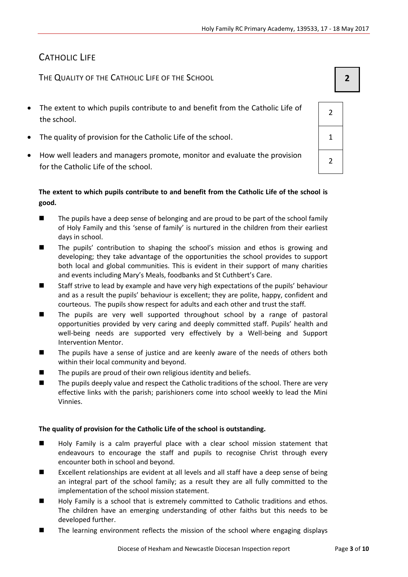# CATHOLIC LIFE

THE QUALITY OF THE CATHOLIC LIFE OF THE SCHOOL **2**

- The extent to which pupils contribute to and benefit from the Catholic Life of the school.
- The quality of provision for the Catholic Life of the school.  $\vert$  1
- How well leaders and managers promote, monitor and evaluate the provision for the Catholic Life of the school.

### **The extent to which pupils contribute to and benefit from the Catholic Life of the school is good.**

- The pupils have a deep sense of belonging and are proud to be part of the school family of Holy Family and this 'sense of family' is nurtured in the children from their earliest days in school.
- The pupils' contribution to shaping the school's mission and ethos is growing and developing; they take advantage of the opportunities the school provides to support both local and global communities. This is evident in their support of many charities and events including Mary's Meals, foodbanks and St Cuthbert's Care.
- Staff strive to lead by example and have very high expectations of the pupils' behaviour and as a result the pupils' behaviour is excellent; they are polite, happy, confident and courteous. The pupils show respect for adults and each other and trust the staff.
- The pupils are very well supported throughout school by a range of pastoral opportunities provided by very caring and deeply committed staff. Pupils' health and well-being needs are supported very effectively by a Well-being and Support Intervention Mentor.
- The pupils have a sense of justice and are keenly aware of the needs of others both within their local community and beyond.
- $\blacksquare$  The pupils are proud of their own religious identity and beliefs.
- **The pupils deeply value and respect the Catholic traditions of the school. There are very** effective links with the parish; parishioners come into school weekly to lead the Mini Vinnies.

#### **The quality of provision for the Catholic Life of the school is outstanding.**

- **Holy Family is a calm prayerful place with a clear school mission statement that** endeavours to encourage the staff and pupils to recognise Christ through every encounter both in school and beyond.
- Excellent relationships are evident at all levels and all staff have a deep sense of being an integral part of the school family; as a result they are all fully committed to the implementation of the school mission statement.
- Holy Family is a school that is extremely committed to Catholic traditions and ethos. The children have an emerging understanding of other faiths but this needs to be developed further.
- The learning environment reflects the mission of the school where engaging displays

2 2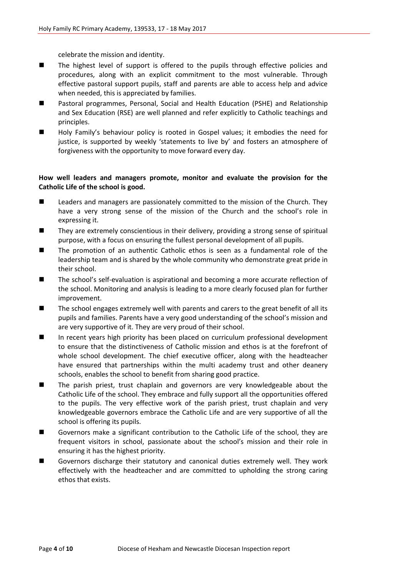celebrate the mission and identity.

- The highest level of support is offered to the pupils through effective policies and procedures, along with an explicit commitment to the most vulnerable. Through effective pastoral support pupils, staff and parents are able to access help and advice when needed, this is appreciated by families.
- Pastoral programmes, Personal, Social and Health Education (PSHE) and Relationship and Sex Education (RSE) are well planned and refer explicitly to Catholic teachings and principles.
- Holy Family's behaviour policy is rooted in Gospel values; it embodies the need for justice, is supported by weekly 'statements to live by' and fosters an atmosphere of forgiveness with the opportunity to move forward every day.

#### **How well leaders and managers promote, monitor and evaluate the provision for the Catholic Life of the school is good.**

- Leaders and managers are passionately committed to the mission of the Church. They have a very strong sense of the mission of the Church and the school's role in expressing it.
- They are extremely conscientious in their delivery, providing a strong sense of spiritual purpose, with a focus on ensuring the fullest personal development of all pupils.
- The promotion of an authentic Catholic ethos is seen as a fundamental role of the leadership team and is shared by the whole community who demonstrate great pride in their school.
- The school's self-evaluation is aspirational and becoming a more accurate reflection of the school. Monitoring and analysis is leading to a more clearly focused plan for further improvement.
- The school engages extremely well with parents and carers to the great benefit of all its pupils and families. Parents have a very good understanding of the school's mission and are very supportive of it. They are very proud of their school.
- In recent years high priority has been placed on curriculum professional development to ensure that the distinctiveness of Catholic mission and ethos is at the forefront of whole school development. The chief executive officer, along with the headteacher have ensured that partnerships within the multi academy trust and other deanery schools, enables the school to benefit from sharing good practice.
- The parish priest, trust chaplain and governors are very knowledgeable about the Catholic Life of the school. They embrace and fully support all the opportunities offered to the pupils. The very effective work of the parish priest, trust chaplain and very knowledgeable governors embrace the Catholic Life and are very supportive of all the school is offering its pupils.
- Governors make a significant contribution to the Catholic Life of the school, they are frequent visitors in school, passionate about the school's mission and their role in ensuring it has the highest priority.
- Governors discharge their statutory and canonical duties extremely well. They work effectively with the headteacher and are committed to upholding the strong caring ethos that exists.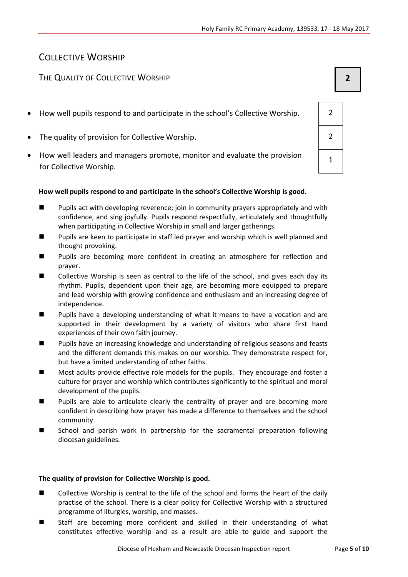# COLLECTIVE WORSHIP

# THE QUALITY OF COLLECTIVE WORSHIP **2**

- How well pupils respond to and participate in the school's Collective Worship.  $\vert$  2
- The quality of provision for Collective Worship. 2
- How well leaders and managers promote, monitor and evaluate the provision for Collective Worship.

#### **How well pupils respond to and participate in the school's Collective Worship is good.**

- **Pupils act with developing reverence; join in community prayers appropriately and with** confidence, and sing joyfully. Pupils respond respectfully, articulately and thoughtfully when participating in Collective Worship in small and larger gatherings.
- **Pupils are keen to participate in staff led prayer and worship which is well planned and** thought provoking.
- Pupils are becoming more confident in creating an atmosphere for reflection and prayer.
- **E** Collective Worship is seen as central to the life of the school, and gives each day its rhythm. Pupils, dependent upon their age, are becoming more equipped to prepare and lead worship with growing confidence and enthusiasm and an increasing degree of independence.
- **Pupils have a developing understanding of what it means to have a vocation and are** supported in their development by a variety of visitors who share first hand experiences of their own faith journey.
- **Pupils have an increasing knowledge and understanding of religious seasons and feasts** and the different demands this makes on our worship. They demonstrate respect for, but have a limited understanding of other faiths.
- Most adults provide effective role models for the pupils. They encourage and foster a culture for prayer and worship which contributes significantly to the spiritual and moral development of the pupils.
- **Pupils are able to articulate clearly the centrality of prayer and are becoming more** confident in describing how prayer has made a difference to themselves and the school community.
- **EXECT** School and parish work in partnership for the sacramental preparation following diocesan guidelines.

#### **The quality of provision for Collective Worship is good.**

- Collective Worship is central to the life of the school and forms the heart of the daily practise of the school. There is a clear policy for Collective Worship with a structured programme of liturgies, worship, and masses.
- Staff are becoming more confident and skilled in their understanding of what constitutes effective worship and as a result are able to guide and support the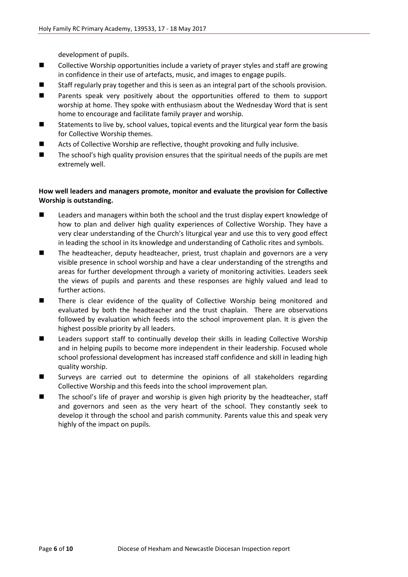development of pupils.

- **E** Collective Worship opportunities include a variety of prayer styles and staff are growing in confidence in their use of artefacts, music, and images to engage pupils.
- Staff regularly pray together and this is seen as an integral part of the schools provision.
- Parents speak very positively about the opportunities offered to them to support worship at home. They spoke with enthusiasm about the Wednesday Word that is sent home to encourage and facilitate family prayer and worship.
- Statements to live by, school values, topical events and the liturgical year form the basis for Collective Worship themes.
- Acts of Collective Worship are reflective, thought provoking and fully inclusive.
- The school's high quality provision ensures that the spiritual needs of the pupils are met extremely well.

#### **How well leaders and managers promote, monitor and evaluate the provision for Collective Worship is outstanding.**

- **EXECUTE:** Leaders and managers within both the school and the trust display expert knowledge of how to plan and deliver high quality experiences of Collective Worship. They have a very clear understanding of the Church's liturgical year and use this to very good effect in leading the school in its knowledge and understanding of Catholic rites and symbols.
- The headteacher, deputy headteacher, priest, trust chaplain and governors are a very visible presence in school worship and have a clear understanding of the strengths and areas for further development through a variety of monitoring activities. Leaders seek the views of pupils and parents and these responses are highly valued and lead to further actions.
- There is clear evidence of the quality of Collective Worship being monitored and evaluated by both the headteacher and the trust chaplain. There are observations followed by evaluation which feeds into the school improvement plan. It is given the highest possible priority by all leaders.
- **Leaders support staff to continually develop their skills in leading Collective Worship** and in helping pupils to become more independent in their leadership. Focused whole school professional development has increased staff confidence and skill in leading high quality worship.
- Surveys are carried out to determine the opinions of all stakeholders regarding Collective Worship and this feeds into the school improvement plan.
- The school's life of prayer and worship is given high priority by the headteacher, staff and governors and seen as the very heart of the school. They constantly seek to develop it through the school and parish community. Parents value this and speak very highly of the impact on pupils.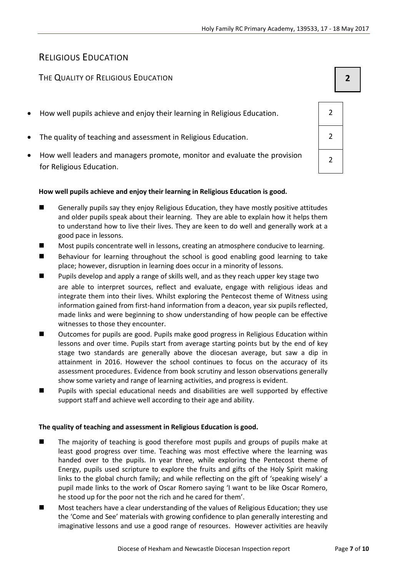# RELIGIOUS EDUCATION

# THE QUALITY OF RELIGIOUS EDUCATION **2**

- How well pupils achieve and enjoy their learning in Religious Education. 2
- The quality of teaching and assessment in Religious Education. 2
- How well leaders and managers promote, monitor and evaluate the provision for Religious Education.

#### **How well pupils achieve and enjoy their learning in Religious Education is good.**

- Generally pupils say they enjoy Religious Education, they have mostly positive attitudes and older pupils speak about their learning. They are able to explain how it helps them to understand how to live their lives. They are keen to do well and generally work at a good pace in lessons.
- Most pupils concentrate well in lessons, creating an atmosphere conducive to learning.
- **Behaviour for learning throughout the school is good enabling good learning to take** place; however, disruption in learning does occur in a minority of lessons.
- **Pupils develop and apply a range of skills well, and as they reach upper key stage two** are able to interpret sources, reflect and evaluate, engage with religious ideas and integrate them into their lives. Whilst exploring the Pentecost theme of Witness using information gained from first-hand information from a deacon, year six pupils reflected, made links and were beginning to show understanding of how people can be effective witnesses to those they encounter.
- Outcomes for pupils are good. Pupils make good progress in Religious Education within lessons and over time. Pupils start from average starting points but by the end of key stage two standards are generally above the diocesan average, but saw a dip in attainment in 2016. However the school continues to focus on the accuracy of its assessment procedures. Evidence from book scrutiny and lesson observations generally show some variety and range of learning activities, and progress is evident.
- Pupils with special educational needs and disabilities are well supported by effective support staff and achieve well according to their age and ability.

#### **The quality of teaching and assessment in Religious Education is good.**

- The majority of teaching is good therefore most pupils and groups of pupils make at least good progress over time. Teaching was most effective where the learning was handed over to the pupils. In year three, while exploring the Pentecost theme of Energy, pupils used scripture to explore the fruits and gifts of the Holy Spirit making links to the global church family; and while reflecting on the gift of 'speaking wisely' a pupil made links to the work of Oscar Romero saying 'I want to be like Oscar Romero, he stood up for the poor not the rich and he cared for them'.
- Most teachers have a clear understanding of the values of Religious Education; they use the 'Come and See' materials with growing confidence to plan generally interesting and imaginative lessons and use a good range of resources. However activities are heavily

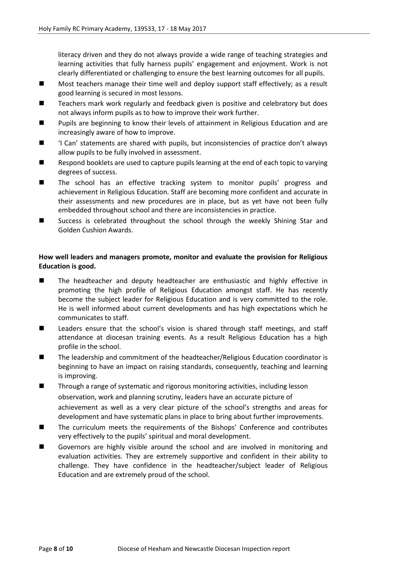literacy driven and they do not always provide a wide range of teaching strategies and learning activities that fully harness pupils' engagement and enjoyment. Work is not clearly differentiated or challenging to ensure the best learning outcomes for all pupils.

- Most teachers manage their time well and deploy support staff effectively; as a result good learning is secured in most lessons.
- Teachers mark work regularly and feedback given is positive and celebratory but does not always inform pupils as to how to improve their work further.
- **Pupils are beginning to know their levels of attainment in Religious Education and are** increasingly aware of how to improve.
- 'I Can' statements are shared with pupils, but inconsistencies of practice don't always allow pupils to be fully involved in assessment.
- Respond booklets are used to capture pupils learning at the end of each topic to varying degrees of success.
- The school has an effective tracking system to monitor pupils' progress and achievement in Religious Education. Staff are becoming more confident and accurate in their assessments and new procedures are in place, but as yet have not been fully embedded throughout school and there are inconsistencies in practice.
- Success is celebrated throughout the school through the weekly Shining Star and Golden Cushion Awards.

#### **How well leaders and managers promote, monitor and evaluate the provision for Religious Education is good.**

- The headteacher and deputy headteacher are enthusiastic and highly effective in promoting the high profile of Religious Education amongst staff. He has recently become the subject leader for Religious Education and is very committed to the role. He is well informed about current developments and has high expectations which he communicates to staff.
- Leaders ensure that the school's vision is shared through staff meetings, and staff attendance at diocesan training events. As a result Religious Education has a high profile in the school.
- The leadership and commitment of the headteacher/Religious Education coordinator is beginning to have an impact on raising standards, consequently, teaching and learning is improving.
- Through a range of systematic and rigorous monitoring activities, including lesson observation, work and planning scrutiny, leaders have an accurate picture of achievement as well as a very clear picture of the school's strengths and areas for development and have systematic plans in place to bring about further improvements.
- The curriculum meets the requirements of the Bishops' Conference and contributes very effectively to the pupils' spiritual and moral development.
- Governors are highly visible around the school and are involved in monitoring and evaluation activities. They are extremely supportive and confident in their ability to challenge. They have confidence in the headteacher/subject leader of Religious Education and are extremely proud of the school.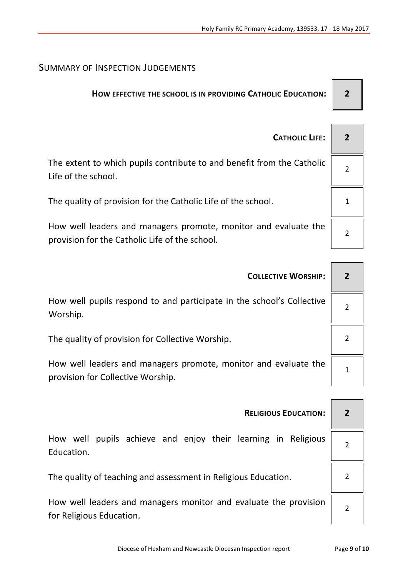# SUMMARY OF INSPECTION JUDGEMENTS

# **HOW EFFECTIVE THE SCHOOL IS IN PROVIDING CATHOLIC EDUCATION: 2**

| <b>CATHOLIC LIFE:</b>                                                                                             |  |
|-------------------------------------------------------------------------------------------------------------------|--|
| The extent to which pupils contribute to and benefit from the Catholic<br>Life of the school.                     |  |
| The quality of provision for the Catholic Life of the school.                                                     |  |
| How well leaders and managers promote, monitor and evaluate the<br>provision for the Catholic Life of the school. |  |

| <b>COLLECTIVE WORSHIP:</b>                                                                           |  |  |  |
|------------------------------------------------------------------------------------------------------|--|--|--|
| How well pupils respond to and participate in the school's Collective<br>Worship.                    |  |  |  |
| The quality of provision for Collective Worship.                                                     |  |  |  |
| How well leaders and managers promote, monitor and evaluate the<br>provision for Collective Worship. |  |  |  |
|                                                                                                      |  |  |  |
| <b>RELIGIOUS EDUCATION:</b>                                                                          |  |  |  |

How well pupils achieve and enjoy their learning in Religious Education.

The quality of teaching and assessment in Religious Education.  $\vert$  2

How well leaders and managers monitor and evaluate the provision for Religious Education.

2